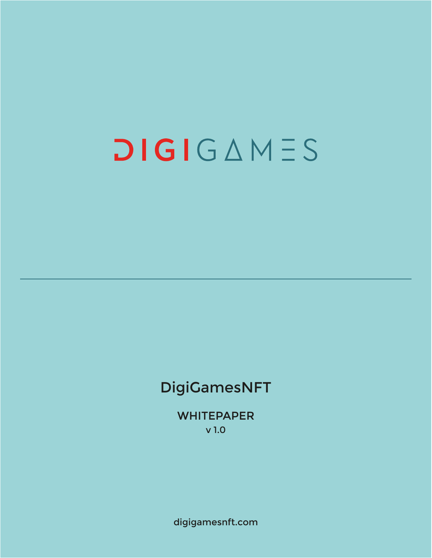**DIGIGAMES** 

# DigiGamesNFT

WHITEPAPER v 1.0

digigamesnft.com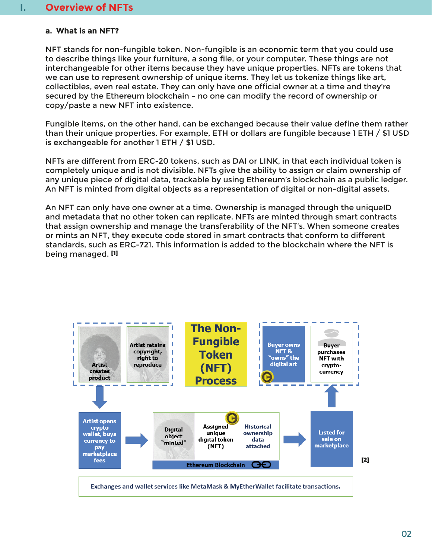#### **a. What is an NFT?**

NFT stands for non-fungible token. Non-fungible is an economic term that you could use to describe things like your furniture, a song file, or your computer. These things are not interchangeable for other items because they have unique properties. NFTs are tokens that we can use to represent ownership of unique items. They let us tokenize things like art, collectibles, even real estate. They can only have one official owner at a time and they're secured by the Ethereum blockchain – no one can modify the record of ownership or copy/paste a new NFT into existence.

Fungible items, on the other hand, can be exchanged because their value define them rather than their unique properties. For example, ETH or dollars are fungible because 1 ETH / \$1 USD is exchangeable for another 1 ETH / \$1 USD.

NFTs are different from ERC-20 tokens, such as DAI or LINK, in that each individual token is completely unique and is not divisible. NFTs give the ability to assign or claim ownership of any unique piece of digital data, trackable by using Ethereum's blockchain as a public ledger. An NFT is minted from digital objects as a representation of digital or non-digital assets.

An NFT can only have one owner at a time. Ownership is managed through the uniqueID and metadata that no other token can replicate. NFTs are minted through smart contracts that assign ownership and manage the transferability of the NFT's. When someone creates or mints an NFT, they execute code stored in smart contracts that conform to different standards, such as ERC-721. This information is added to the blockchain where the NFT is being managed. **[1]**

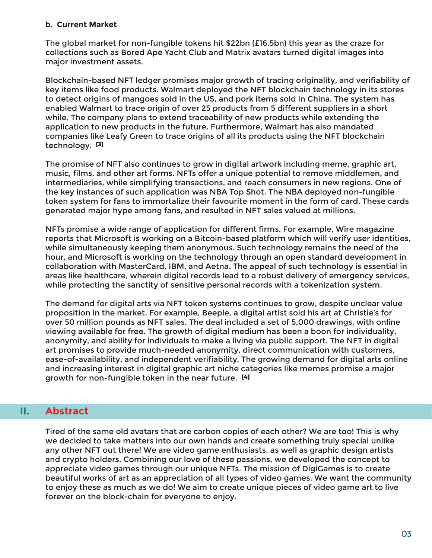#### **b. Current Market**

The global market for non-fungible tokens hit \$22bn (£16.5bn) this year as the craze for collections such as Bored Ape Yacht Club and Matrix avatars turned digital images into major investment assets.

Blockchain-based NFT ledger promises major growth of tracing originality, and verifiability of key items like food products. Walmart deployed the NFT blockchain technology in its stores to detect origins of mangoes sold in the US, and pork items sold in China. The system has enabled Walmart to trace origin of over 25 products from 5 different suppliers in a short while. The company plans to extend traceability of new products while extending the application to new products in the future. Furthermore, Walmart has also mandated companies like Leafy Green to trace origins of all its products using the NFT blockchain technology. **[3]**

The promise of NFT also continues to grow in digital artwork including meme, graphic art, music, films, and other art forms. NFTs offer a unique potential to remove middlemen, and intermediaries, while simplifying transactions, and reach consumers in new regions. One of the key instances of such application was NBA Top Shot. The NBA deployed non-fungible token system for fans to immortalize their favourite moment in the form of card. These cards generated major hype among fans, and resulted in NFT sales valued at millions.

NFTs promise a wide range of application for different firms. For example, Wire magazine reports that Microsoft is working on a Bitcoin-based platform which will verify user identities, while simultaneously keeping them anonymous. Such technology remains the need of the hour, and Microsoft is working on the technology through an open standard development in collaboration with MasterCard, IBM, and Aetna. The appeal of such technology is essential in areas like healthcare, wherein digital records lead to a robust delivery of emergency services, while protecting the sanctity of sensitive personal records with a tokenization system.

The demand for digital arts via NFT token systems continues to grow, despite unclear value proposition in the market. For example, Beeple, a digital artist sold his art at Christie's for over 50 million pounds as NFT sales. The deal included a set of 5,000 drawings, with online viewing available for free. The growth of digital medium has been a boon for individuality, anonymity, and ability for individuals to make a living via public support. The NFT in digital art promises to provide much-needed anonymity, direct communication with customers, ease-of-availability, and independent verifiability. The growing demand for digital arts online and increasing interest in digital graphic art niche categories like memes promise a major growth for non-fungible token in the near future. **[4]**

## **II. Abstract**

Tired of the same old avatars that are carbon copies of each other? We are too! This is why we decided to take matters into our own hands and create something truly special unlike any other NFT out there! We are video game enthusiasts, as well as graphic design artists and crypto holders. Combining our love of these passions, we developed the concept to appreciate video games through our unique NFTs. The mission of DigiGames is to create beautiful works of art as an appreciation of all types of video games. We want the community to enjoy these as much as we do! We aim to create unique pieces of video game art to live forever on the block-chain for everyone to enjoy.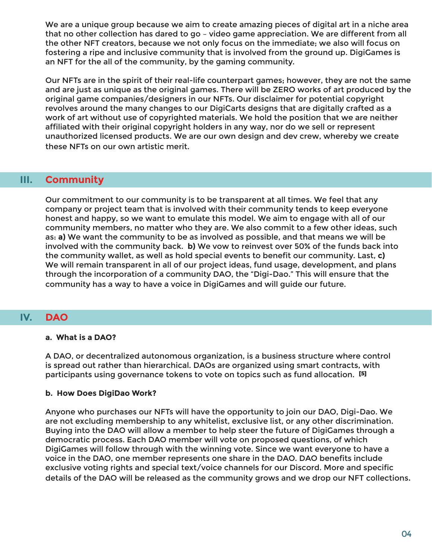We are a unique group because we aim to create amazing pieces of digital art in a niche area that no other collection has dared to go – video game appreciation. We are different from all the other NFT creators, because we not only focus on the immediate; we also will focus on fostering a ripe and inclusive community that is involved from the ground up. DigiGames is an NFT for the all of the community, by the gaming community.

Our NFTs are in the spirit of their real-life counterpart games; however, they are not the same and are just as unique as the original games. There will be ZERO works of art produced by the original game companies/designers in our NFTs. Our disclaimer for potential copyright revolves around the many changes to our DigiCarts designs that are digitally crafted as a work of art without use of copyrighted materials. We hold the position that we are neither affiliated with their original copyright holders in any way, nor do we sell or represent unauthorized licensed products. We are our own design and dev crew, whereby we create these NFTs on our own artistic merit.

## **III. Community**

Our commitment to our community is to be transparent at all times. We feel that any company or project team that is involved with their community tends to keep everyone honest and happy, so we want to emulate this model. We aim to engage with all of our community members, no matter who they are. We also commit to a few other ideas, such as: **a)** We want the community to be as involved as possible, and that means we will be involved with the community back. **b)** We vow to reinvest over 50% of the funds back into the community wallet, as well as hold special events to benefit our community. Last, **c)** We will remain transparent in all of our project ideas, fund usage, development, and plans through the incorporation of a community DAO, the "Digi-Dao." This will ensure that the community has a way to have a voice in DigiGames and will guide our future.

## **IV. DAO**

#### **a. What is a DAO?**

A DAO, or decentralized autonomous organization, is a business structure where control is spread out rather than hierarchical. DAOs are organized using smart contracts, with participants using governance tokens to vote on topics such as fund allocation. **[5]**

#### **b. How Does DigiDao Work?**

Anyone who purchases our NFTs will have the opportunity to join our DAO, Digi-Dao. We are not excluding membership to any whitelist, exclusive list, or any other discrimination. Buying into the DAO will allow a member to help steer the future of DigiGames through a democratic process. Each DAO member will vote on proposed questions, of which DigiGames will follow through with the winning vote. Since we want everyone to have a voice in the DAO, one member represents one share in the DAO. DAO benefits include exclusive voting rights and special text/voice channels for our Discord. More and specific details of the DAO will be released as the community grows and we drop our NFT collections.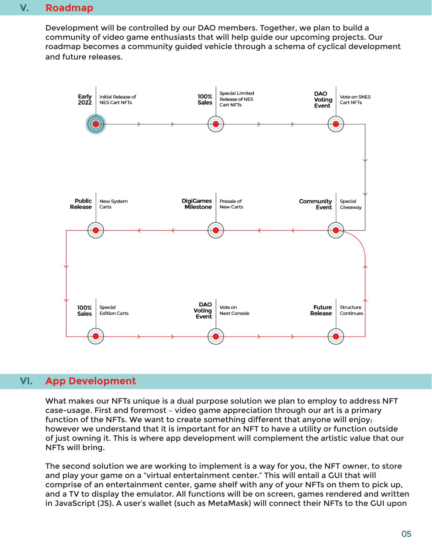# **V. Roadmap**

Development will be controlled by our DAO members. Together, we plan to build a community of video game enthusiasts that will help guide our upcoming projects. Our roadmap becomes a community guided vehicle through a schema of cyclical development and future releases.



## **VI. App Development**

What makes our NFTs unique is a dual purpose solution we plan to employ to address NFT case-usage. First and foremost – video game appreciation through our art is a primary function of the NFTs. We want to create something different that anyone will enjoy; however we understand that it is important for an NFT to have a utility or function outside of just owning it. This is where app development will complement the artistic value that our NFTs will bring.

The second solution we are working to implement is a way for you, the NFT owner, to store and play your game on a "virtual entertainment center." This will entail a GUI that will comprise of an entertainment center, game shelf with any of your NFTs on them to pick up, and a TV to display the emulator. All functions will be on screen, games rendered and written in JavaScript (JS). A user's wallet (such as MetaMask) will connect their NFTs to the GUI upon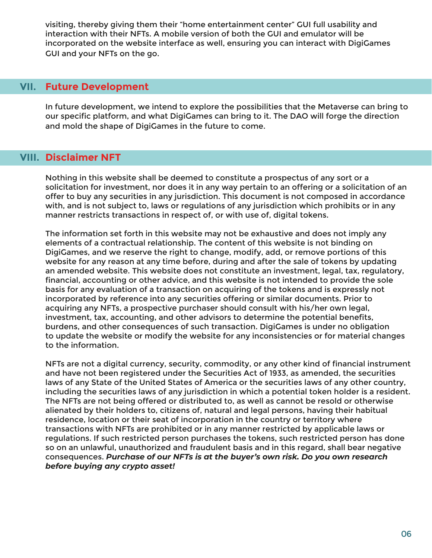visiting, thereby giving them their "home entertainment center" GUI full usability and interaction with their NFTs. A mobile version of both the GUI and emulator will be incorporated on the website interface as well, ensuring you can interact with DigiGames GUI and your NFTs on the go.

#### **VII. Future Development**

In future development, we intend to explore the possibilities that the Metaverse can bring to our specific platform, and what DigiGames can bring to it. The DAO will forge the direction and mold the shape of DigiGames in the future to come.

## **VIII. Disclaimer NFT**

Nothing in this website shall be deemed to constitute a prospectus of any sort or a solicitation for investment, nor does it in any way pertain to an offering or a solicitation of an offer to buy any securities in any jurisdiction. This document is not composed in accordance with, and is not subject to, laws or regulations of any jurisdiction which prohibits or in any manner restricts transactions in respect of, or with use of, digital tokens.

The information set forth in this website may not be exhaustive and does not imply any elements of a contractual relationship. The content of this website is not binding on DigiGames, and we reserve the right to change, modify, add, or remove portions of this website for any reason at any time before, during and after the sale of tokens by updating an amended website. This website does not constitute an investment, legal, tax, regulatory, financial, accounting or other advice, and this website is not intended to provide the sole basis for any evaluation of a transaction on acquiring of the tokens and is expressly not incorporated by reference into any securities offering or similar documents. Prior to acquiring any NFTs, a prospective purchaser should consult with his/her own legal, investment, tax, accounting, and other advisors to determine the potential benefits, burdens, and other consequences of such transaction. DigiGames is under no obligation to update the website or modify the website for any inconsistencies or for material changes to the information.

NFTs are not a digital currency, security, commodity, or any other kind of financial instrument and have not been registered under the Securities Act of 1933, as amended, the securities laws of any State of the United States of America or the securities laws of any other country, including the securities laws of any jurisdiction in which a potential token holder is a resident. The NFTs are not being offered or distributed to, as well as cannot be resold or otherwise alienated by their holders to, citizens of, natural and legal persons, having their habitual residence, location or their seat of incorporation in the country or territory where transactions with NFTs are prohibited or in any manner restricted by applicable laws or regulations. If such restricted person purchases the tokens, such restricted person has done so on an unlawful, unauthorized and fraudulent basis and in this regard, shall bear negative consequences. *Purchase of our NFTs is at the buyer's own risk. Do you own research before buying any crypto asset!*